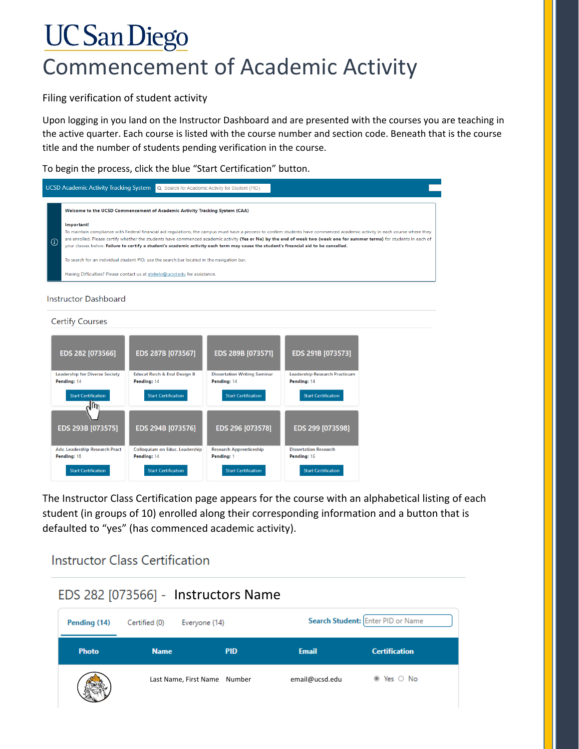## **UC San Diego** Commencement of Academic Activity

Filing verification of student activity

Upon logging in you land on the Instructor Dashboard and are presented with the courses you are teaching in the active quarter. Each course is listed with the course number and section code. Beneath that is the course title and the number of students pending verification in the course.

To begin the process, click the blue "Start Certification" button.

|         | <b>UCSD Academic Activity Tracking System</b><br>Q Search for Academic Activity for Student (PID)                                                                                                                                                                                                                                                                                                                                                                                                                |  |
|---------|------------------------------------------------------------------------------------------------------------------------------------------------------------------------------------------------------------------------------------------------------------------------------------------------------------------------------------------------------------------------------------------------------------------------------------------------------------------------------------------------------------------|--|
|         | Welcome to the UCSD Commencement of Academic Activity Tracking System (CAA)                                                                                                                                                                                                                                                                                                                                                                                                                                      |  |
| $\odot$ | Important!<br>To maintain compliance with Federal financial aid requlations, the campus must have a process to confirm students have commenced academic activity in each course where they<br>are enrolled. Please certify whether the students have commenced academic activity (Yes or No) by the end of week two (week one for summer terms) for students in each of<br>your classes below. Failure to certify a student's academic activity each term may cause the student's financial aid to be cancelled. |  |
|         | To search for an individual student PID, use the search bar located in the navigation bar.                                                                                                                                                                                                                                                                                                                                                                                                                       |  |
|         | Having Difficulties? Please contact us at atshelp@ucsd.edu for assistance.                                                                                                                                                                                                                                                                                                                                                                                                                                       |  |
|         |                                                                                                                                                                                                                                                                                                                                                                                                                                                                                                                  |  |

## **Instructor Dashboard**

## **Certify Courses**



The Instructor Class Certification page appears for the course with an alphabetical listing of each student (in groups of 10) enrolled along their corresponding information and a button that is defaulted to "yes" (has commenced academic activity).

## **Instructor Class Certification**

|              |               | EDS 282 [073566] - Instructors Name |                |                                   |
|--------------|---------------|-------------------------------------|----------------|-----------------------------------|
| Pending (14) | Certified (0) | Everyone (14)                       |                | Search Student: Enter PID or Name |
| <b>Photo</b> | <b>Name</b>   | <b>PID</b>                          | <b>Email</b>   | <b>Certification</b>              |
|              |               | Last Name, First Name Number        | email@ucsd.edu | ⊕ Yes ○ No                        |